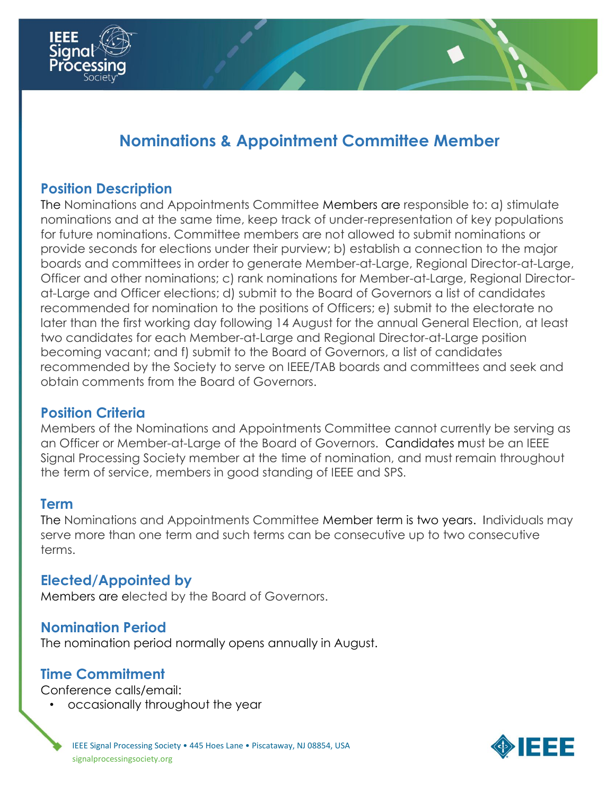

# **Nominations & Appointment Committee Member**

### **Position Description**

The Nominations and Appointments Committee Members are responsible to: a) stimulate nominations and at the same time, keep track of under-representation of key populations for future nominations. Committee members are not allowed to submit nominations or provide seconds for elections under their purview; b) establish a connection to the major boards and committees in order to generate Member-at-Large, Regional Director-at-Large, Officer and other nominations; c) rank nominations for Member-at-Large, Regional Directorat-Large and Officer elections; d) submit to the Board of Governors a list of candidates recommended for nomination to the positions of Officers; e) submit to the electorate no later than the first working day following 14 August for the annual General Election, at least two candidates for each Member-at-Large and Regional Director-at-Large position becoming vacant; and f) submit to the Board of Governors, a list of candidates recommended by the Society to serve on IEEE/TAB boards and committees and seek and obtain comments from the Board of Governors.

#### **Position Criteria**

Members of the Nominations and Appointments Committee cannot currently be serving as an Officer or Member-at-Large of the Board of Governors. Candidates must be an IEEE Signal Processing Society member at the time of nomination, and must remain throughout the term of service, members in good standing of IEEE and SPS.

#### **Term**

The Nominations and Appointments Committee Member term is two years. Individuals may serve more than one term and such terms can be consecutive up to two consecutive terms.

#### **Elected/Appointed by**

Members are elected by the Board of Governors.

#### **Nomination Period**

The nomination period normally opens annually in August.

## **Time Commitment**

Conference calls/email:

• occasionally throughout the year

IEEE Signal Processing Society • 445 Hoes Lane • Piscataway, NJ 08854, USA signalprocessingsociety.org